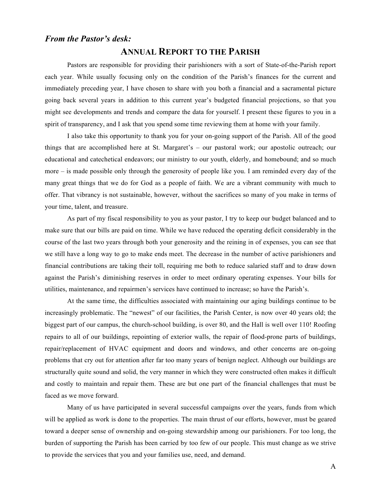### *From the Pastor's desk:*

### **ANNUAL REPORT TO THE PARISH**

Pastors are responsible for providing their parishioners with a sort of State-of-the-Parish report each year. While usually focusing only on the condition of the Parish's finances for the current and immediately preceding year, I have chosen to share with you both a financial and a sacramental picture going back several years in addition to this current year's budgeted financial projections, so that you might see developments and trends and compare the data for yourself. I present these figures to you in a spirit of transparency, and I ask that you spend some time reviewing them at home with your family.

I also take this opportunity to thank you for your on-going support of the Parish. All of the good things that are accomplished here at St. Margaret's – our pastoral work; our apostolic outreach; our educational and catechetical endeavors; our ministry to our youth, elderly, and homebound; and so much more – is made possible only through the generosity of people like you. I am reminded every day of the many great things that we do for God as a people of faith. We are a vibrant community with much to offer. That vibrancy is not sustainable, however, without the sacrifices so many of you make in terms of your time, talent, and treasure.

As part of my fiscal responsibility to you as your pastor, I try to keep our budget balanced and to make sure that our bills are paid on time. While we have reduced the operating deficit considerably in the course of the last two years through both your generosity and the reining in of expenses, you can see that we still have a long way to go to make ends meet. The decrease in the number of active parishioners and financial contributions are taking their toll, requiring me both to reduce salaried staff and to draw down against the Parish's diminishing reserves in order to meet ordinary operating expenses. Your bills for utilities, maintenance, and repairmen's services have continued to increase; so have the Parish's.

At the same time, the difficulties associated with maintaining our aging buildings continue to be increasingly problematic. The "newest" of our facilities, the Parish Center, is now over 40 years old; the biggest part of our campus, the church-school building, is over 80, and the Hall is well over 110! Roofing repairs to all of our buildings, repointing of exterior walls, the repair of flood-prone parts of buildings, repair/replacement of HVAC equipment and doors and windows, and other concerns are on-going problems that cry out for attention after far too many years of benign neglect. Although our buildings are structurally quite sound and solid, the very manner in which they were constructed often makes it difficult and costly to maintain and repair them. These are but one part of the financial challenges that must be faced as we move forward.

Many of us have participated in several successful campaigns over the years, funds from which will be applied as work is done to the properties. The main thrust of our efforts, however, must be geared toward a deeper sense of ownership and on-going stewardship among our parishioners. For too long, the burden of supporting the Parish has been carried by too few of our people. This must change as we strive to provide the services that you and your families use, need, and demand.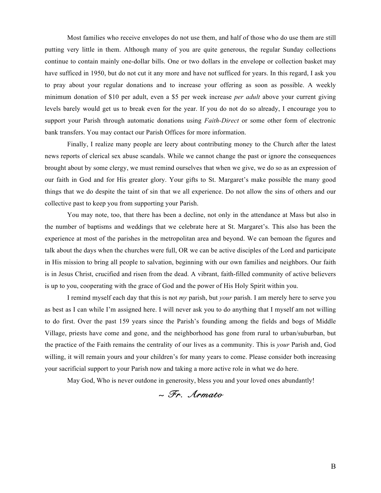Most families who receive envelopes do not use them, and half of those who do use them are still putting very little in them. Although many of you are quite generous, the regular Sunday collections continue to contain mainly one-dollar bills. One or two dollars in the envelope or collection basket may have sufficed in 1950, but do not cut it any more and have not sufficed for years. In this regard, I ask you to pray about your regular donations and to increase your offering as soon as possible. A weekly minimum donation of \$10 per adult, even a \$5 per week increase *per adult* above your current giving levels barely would get us to break even for the year. If you do not do so already, I encourage you to support your Parish through automatic donations using *Faith-Direct* or some other form of electronic bank transfers. You may contact our Parish Offices for more information.

Finally, I realize many people are leery about contributing money to the Church after the latest news reports of clerical sex abuse scandals. While we cannot change the past or ignore the consequences brought about by some clergy, we must remind ourselves that when we give, we do so as an expression of our faith in God and for His greater glory. Your gifts to St. Margaret's make possible the many good things that we do despite the taint of sin that we all experience. Do not allow the sins of others and our collective past to keep you from supporting your Parish.

You may note, too, that there has been a decline, not only in the attendance at Mass but also in the number of baptisms and weddings that we celebrate here at St. Margaret's. This also has been the experience at most of the parishes in the metropolitan area and beyond. We can bemoan the figures and talk about the days when the churches were full, OR we can be active disciples of the Lord and participate in His mission to bring all people to salvation, beginning with our own families and neighbors. Our faith is in Jesus Christ, crucified and risen from the dead. A vibrant, faith-filled community of active believers is up to you, cooperating with the grace of God and the power of His Holy Spirit within you.

I remind myself each day that this is not *my* parish, but *your* parish. I am merely here to serve you as best as I can while I'm assigned here. I will never ask you to do anything that I myself am not willing to do first. Over the past 159 years since the Parish's founding among the fields and bogs of Middle Village, priests have come and gone, and the neighborhood has gone from rural to urban/suburban, but the practice of the Faith remains the centrality of our lives as a community. This is *your* Parish and, God willing, it will remain yours and your children's for many years to come. Please consider both increasing your sacrificial support to your Parish now and taking a more active role in what we do here.

May God, Who is never outdone in generosity, bless you and your loved ones abundantly!

## *~ Fr. Armato*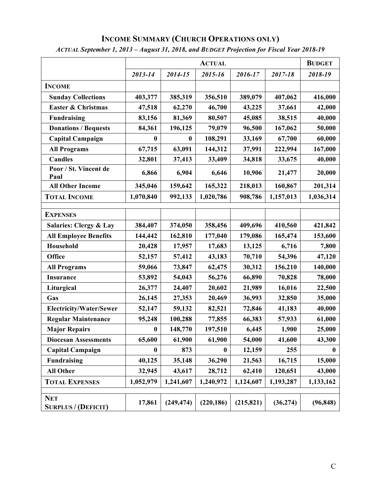# **INCOME SUMMARY (CHURCH OPERATIONS ONLY)**

| ACTUAL September 1, 2013 – August 31, 2018, and BUDGET Projection for Fiscal Year 2018-19 |  |               |  |   |  |  |  |  |  |
|-------------------------------------------------------------------------------------------|--|---------------|--|---|--|--|--|--|--|
|                                                                                           |  | <b>BUDGET</b> |  |   |  |  |  |  |  |
|                                                                                           |  |               |  | . |  |  |  |  |  |

|                                          |                  | <b>BUDGET</b> |            |            |           |           |  |
|------------------------------------------|------------------|---------------|------------|------------|-----------|-----------|--|
|                                          | 2013-14          | 2014-15       | 2015-16    | 2016-17    | 2017-18   | 2018-19   |  |
| <b>INCOME</b>                            |                  |               |            |            |           |           |  |
| <b>Sunday Collections</b>                | 403,377          | 385,319       | 356,510    | 389,079    | 407,062   | 416,000   |  |
| <b>Easter &amp; Christmas</b>            | 47,518           | 62,270        | 46,700     | 43,225     | 37,661    | 42,000    |  |
| <b>Fundraising</b>                       | 83,156           | 81,369        | 80,507     | 45,085     | 38,515    | 40,000    |  |
| <b>Donations / Bequests</b>              | 84,361           | 196,125       | 79,079     | 96,500     | 167,062   | 50,000    |  |
| <b>Capital Campaign</b>                  | $\boldsymbol{0}$ | $\bf{0}$      | 108,291    | 33,169     | 67,700    | 60,000    |  |
| <b>All Programs</b>                      | 67,715           | 63,091        | 144,312    | 37,991     | 222,994   | 167,000   |  |
| Candles                                  | 32,801           | 37,413        | 33,409     | 34,818     | 33,675    | 40,000    |  |
| Poor / St. Vincent de<br>Paul            | 6,866            | 6,904         | 6,646      | 10,906     | 21,477    | 20,000    |  |
| <b>All Other Income</b>                  | 345,046          | 159,642       | 165,322    | 218,013    | 160,867   | 201,314   |  |
| <b>TOTAL INCOME</b>                      | 1,070,840        | 992,133       | 1,020,786  | 908,786    | 1,157,013 | 1,036,314 |  |
| <b>EXPENSES</b>                          |                  |               |            |            |           |           |  |
|                                          |                  |               |            |            |           |           |  |
| Salaries: Clergy & Lay                   | 384,407          | 374,050       | 358,456    | 409,696    | 410,560   | 421,842   |  |
| <b>All Employee Benefits</b>             | 144,442          | 162,810       | 177,040    | 179,086    | 165,474   | 153,600   |  |
| Household                                | 20,428           | 17,957        | 17,683     | 13,125     | 6,716     | 7,800     |  |
| Office                                   | 52,157           | 57,412        | 43,183     | 70,710     | 54,396    | 47,120    |  |
| <b>All Programs</b>                      | 59,066           | 73,847        | 62,475     | 30,312     | 156,210   | 140,000   |  |
| Insurance                                | 53,892           | 54,043        | 56,276     | 66,890     | 70,828    | 78,000    |  |
| Liturgical                               | 26,377           | 24,407        | 20,602     | 21,989     | 16,016    | 22,500    |  |
| Gas                                      | 26,145           | 27,353        | 20,469     | 36,993     | 32,850    | 35,000    |  |
| <b>Electricity/Water/Sewer</b>           | 52,147           | 59,132        | 82,521     | 72,846     | 41,183    | 40,000    |  |
| <b>Regular Maintenance</b>               | 95,248           | 100,288       | 77,855     | 66,383     | 57,933    | 61,000    |  |
| <b>Major Repairs</b>                     | $\boldsymbol{0}$ | 148,770       | 197,510    | 6,445      | 1,900     | 25,000    |  |
| <b>Diocesan Assessments</b>              | 65,600           | 61,900        | 61,900     | 54,000     | 41,600    | 43,300    |  |
| <b>Capital Campaign</b>                  | $\boldsymbol{0}$ | 873           | $\bf{0}$   | 12,159     | 255       | $\bf{0}$  |  |
| <b>Fundraising</b>                       | 40,125           | 35,148        | 36,290     | 21,563     | 16,715    | 15,000    |  |
| <b>All Other</b>                         | 32,945           | 43,617        | 28,712     | 62,410     | 120,651   | 43,000    |  |
| <b>TOTAL EXPENSES</b>                    | 1,052,979        | 1,241,607     | 1,240,972  | 1,124,607  | 1,193,287 | 1,133,162 |  |
|                                          |                  |               |            |            |           |           |  |
| <b>NET</b><br><b>SURPLUS / (DEFICIT)</b> | 17,861           | (249, 474)    | (220, 186) | (215, 821) | (36, 274) | (96, 848) |  |